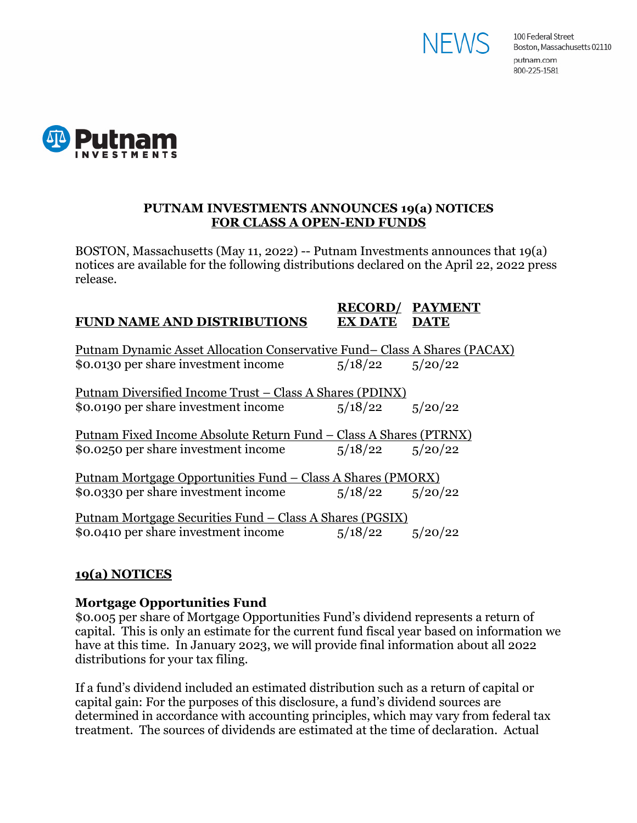



## **PUTNAM INVESTMENTS ANNOUNCES 19(a) NOTICES FOR CLASS A OPEN-END FUNDS**

BOSTON, Massachusetts (May 11, 2022) -- Putnam Investments announces that 19(a) notices are available for the following distributions declared on the April 22, 2022 press release.

#### **RECORD/ PAYMENT FUND NAME AND DISTRIBUTIONS EX DATE DATE**

| <u> Putnam Dynamic Asset Allocation Conservative Fund– Class A Shares (PACAX)</u> |         |                     |  |
|-----------------------------------------------------------------------------------|---------|---------------------|--|
| \$0.0130 per share investment income                                              |         | $5/18/22$ $5/20/22$ |  |
|                                                                                   |         |                     |  |
| Putnam Diversified Income Trust – Class A Shares (PDINX)                          |         |                     |  |
| \$0.0190 per share investment income                                              |         | $5/18/22$ $5/20/22$ |  |
|                                                                                   |         |                     |  |
| Putnam Fixed Income Absolute Return Fund – Class A Shares (PTRNX)                 |         |                     |  |
| \$0.0250 per share investment income                                              |         | $5/18/22$ $5/20/22$ |  |
|                                                                                   |         |                     |  |
| <u> Putnam Mortgage Opportunities Fund – Class A Shares (PMORX)</u>               |         |                     |  |
| \$0.0330 per share investment income                                              |         | $5/18/22$ $5/20/22$ |  |
|                                                                                   |         |                     |  |
| <u> Putnam Mortgage Securities Fund – Class A Shares (PGSIX)</u>                  |         |                     |  |
|                                                                                   |         |                     |  |
| \$0.0410 per share investment income                                              | 5/18/22 | 5/20/22             |  |

# **19(a) NOTICES**

### **Mortgage Opportunities Fund**

\$0.005 per share of Mortgage Opportunities Fund's dividend represents a return of capital. This is only an estimate for the current fund fiscal year based on information we have at this time. In January 2023, we will provide final information about all 2022 distributions for your tax filing.

If a fund's dividend included an estimated distribution such as a return of capital or capital gain: For the purposes of this disclosure, a fund's dividend sources are determined in accordance with accounting principles, which may vary from federal tax treatment. The sources of dividends are estimated at the time of declaration. Actual